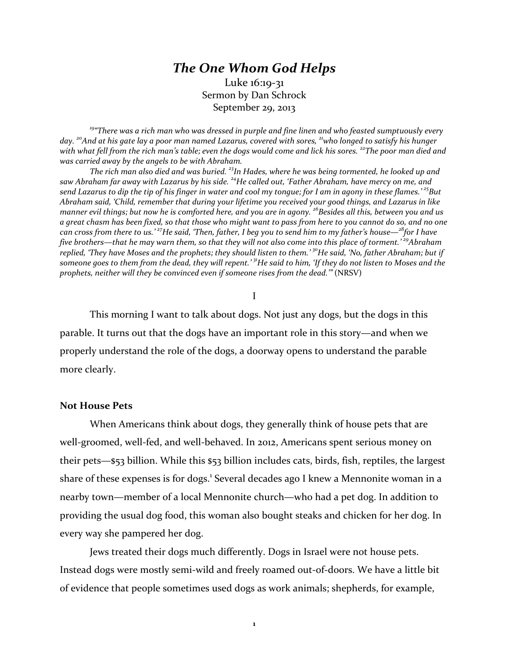## *The One Whom God Helps*

Luke 16:19‐31 Sermon by Dan Schrock September 29, 2013

*19"There was a rich man who was dressed in purple and fine linen and who feasted sumptuously every* day. <sup>20</sup>And at his gate lay a poor man named Lazarus, covered with sores, <sup>21</sup>who longed to satisfy his hunger with what fell from the rich man's table; even the dogs would come and lick his sores. <sup>22</sup>The poor man died and *was carried away by the angels to be with Abraham.* 

The rich man also died and was buried. <sup>23</sup>In Hades, where he was being tormented, he looked up and saw Abraham far away with Lazarus by his side. <sup>24</sup>He called out, 'Father Abraham, have mercy on me, and send Lazarus to dip the tip of his finger in water and cool my tongue; for I am in agony in these flames.'<sup>25</sup>But Abraham said, 'Child, remember that during your lifetime you received your good things, and Lazarus in like manner evil things; but now he is comforted here, and you are in agony.<sup>26</sup> Besides all this, between you and us a great chasm has been fixed, so that those who might want to pass from here to you cannot do so, and no one can cross from there to us.'<sup>27</sup>He said, 'Then, father, I beg you to send him to my father's house— $2^8$  for I have five brothers—that he may warn them, so that they will not also come into this place of torment.<sup>'29</sup>Abraham replied. 'They have Moses and the prophets: they should listen to them.' <sup>30</sup>He said. 'No. father Abraham: but if someone goes to them from the dead, they will repent.'<sup>31</sup>He said to him, 'If they do not listen to Moses and the *prophets, neither will they be convinced even if someone rises from the dead.'"* (NRSV)

I

This morning I want to talk about dogs. Not just any dogs, but the dogs in this parable. It turns out that the dogs have an important role in this story—and when we properly understand the role of the dogs, a doorway opens to understand the parable more clearly.

#### **Not House Pets**

When Americans think about dogs, they generally think of house pets that are well-groomed, well-fed, and well-behaved. In 2012, Americans spent serious money on their pets—\$53 billion. While this \$53 billion includes cats, birds, fish, reptiles, the largest share of these expenses is for dogs.<sup>1</sup> Several decades ago I knew a Mennonite woman in a nearby town—member of a local Mennonite church—who had a pet dog. In addition to providing the usual dog food, this woman also bought steaks and chicken for her dog. In every way she pampered her dog.

Jews treated their dogs much differently. Dogs in Israel were not house pets. Instead dogs were mostly semi‐wild and freely roamed out‐of‐doors. We have a little bit of evidence that people sometimes used dogs as work animals; shepherds, for example,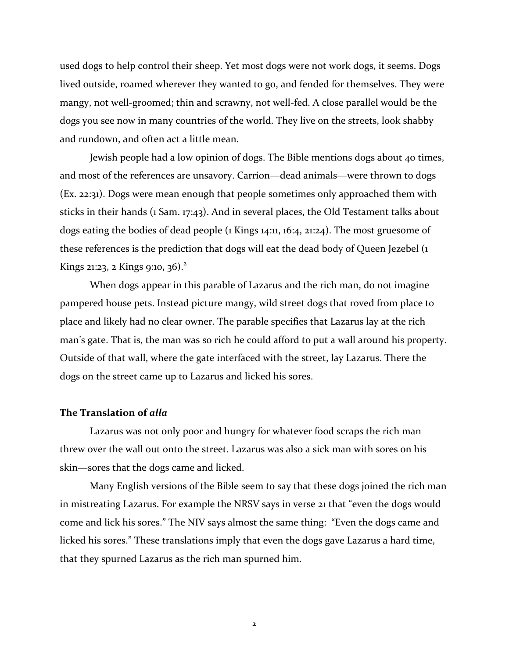used dogs to help control their sheep. Yet most dogs were not work dogs, it seems. Dogs lived outside, roamed wherever they wanted to go, and fended for themselves. They were mangy, not well‐groomed; thin and scrawny, not well‐fed. A close parallel would be the dogs you see now in many countries of the world. They live on the streets, look shabby and rundown, and often act a little mean.

Jewish people had a low opinion of dogs. The Bible mentions dogs about 40 times, and most of the references are unsavory. Carrion—dead animals—were thrown to dogs (Ex. 22:31). Dogs were mean enough that people sometimes only approached them with sticks in their hands (1 Sam. 17:43). And in several places, the Old Testament talks about dogs eating the bodies of dead people (1 Kings 14:11, 16:4, 21:24). The most gruesome of these references is the prediction that dogs will eat the dead body of Queen Jezebel (1 Kings 21:23, 2 Kings 9:10, 36).<sup>2</sup>

When dogs appear in this parable of Lazarus and the rich man, do not imagine pampered house pets. Instead picture mangy, wild street dogs that roved from place to place and likely had no clear owner. The parable specifies that Lazarus lay at the rich man's gate. That is, the man was so rich he could afford to put a wall around his property. Outside of that wall, where the gate interfaced with the street, lay Lazarus. There the dogs on the street came up to Lazarus and licked his sores.

### **The Translation of** *alla*

Lazarus was not only poor and hungry for whatever food scraps the rich man threw over the wall out onto the street. Lazarus was also a sick man with sores on his skin—sores that the dogs came and licked.

Many English versions of the Bible seem to say that these dogs joined the rich man in mistreating Lazarus. For example the NRSV says in verse 21 that "even the dogs would come and lick his sores." The NIV says almost the same thing: "Even the dogs came and licked his sores." These translations imply that even the dogs gave Lazarus a hard time, that they spurned Lazarus as the rich man spurned him.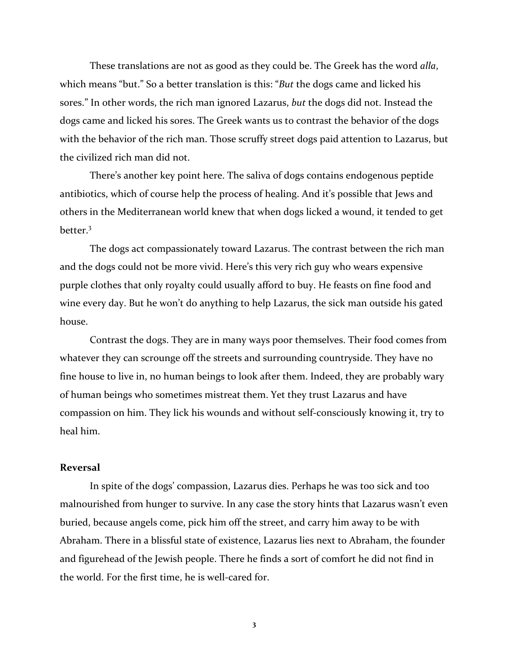These translations are not as good as they could be. The Greek has the word *alla*, which means "but." So a better translation is this: "*But* the dogs came and licked his sores." In other words, the rich man ignored Lazarus, *but* the dogs did not. Instead the dogs came and licked his sores. The Greek wants us to contrast the behavior of the dogs with the behavior of the rich man. Those scruffy street dogs paid attention to Lazarus, but the civilized rich man did not.

There's another key point here. The saliva of dogs contains endogenous peptide antibiotics, which of course help the process of healing. And it's possible that Jews and others in the Mediterranean world knew that when dogs licked a wound, it tended to get better.<sup>3</sup>

The dogs act compassionately toward Lazarus. The contrast between the rich man and the dogs could not be more vivid. Here's this very rich guy who wears expensive purple clothes that only royalty could usually afford to buy. He feasts on fine food and wine every day. But he won't do anything to help Lazarus, the sick man outside his gated house.

Contrast the dogs. They are in many ways poor themselves. Their food comes from whatever they can scrounge off the streets and surrounding countryside. They have no fine house to live in, no human beings to look after them. Indeed, they are probably wary of human beings who sometimes mistreat them. Yet they trust Lazarus and have compassion on him. They lick his wounds and without self‐consciously knowing it, try to heal him.

#### **Reversal**

In spite of the dogs' compassion, Lazarus dies. Perhaps he was too sick and too malnourished from hunger to survive. In any case the story hints that Lazarus wasn't even buried, because angels come, pick him off the street, and carry him away to be with Abraham. There in a blissful state of existence, Lazarus lies next to Abraham, the founder and figurehead of the Jewish people. There he finds a sort of comfort he did not find in the world. For the first time, he is well‐cared for.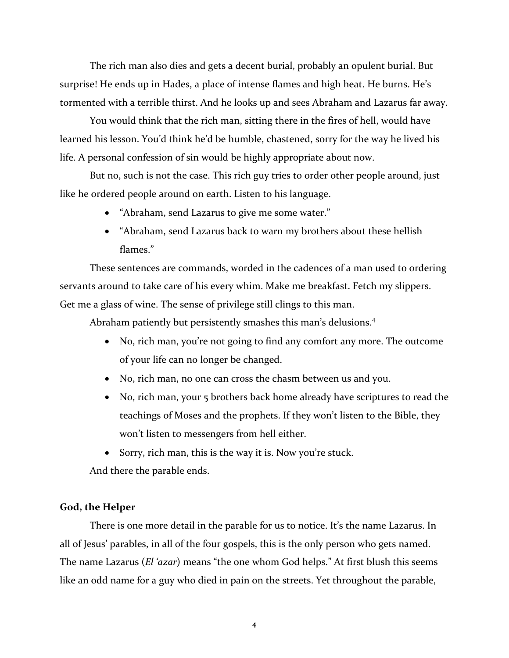The rich man also dies and gets a decent burial, probably an opulent burial. But surprise! He ends up in Hades, a place of intense flames and high heat. He burns. He's tormented with a terrible thirst. And he looks up and sees Abraham and Lazarus far away.

You would think that the rich man, sitting there in the fires of hell, would have learned his lesson. You'd think he'd be humble, chastened, sorry for the way he lived his life. A personal confession of sin would be highly appropriate about now.

But no, such is not the case. This rich guy tries to order other people around, just like he ordered people around on earth. Listen to his language.

- "Abraham, send Lazarus to give me some water."
- "Abraham, send Lazarus back to warn my brothers about these hellish flames."

These sentences are commands, worded in the cadences of a man used to ordering servants around to take care of his every whim. Make me breakfast. Fetch my slippers. Get me a glass of wine. The sense of privilege still clings to this man.

Abraham patiently but persistently smashes this man's delusions.<sup>4</sup>

- No, rich man, you're not going to find any comfort any more. The outcome of your life can no longer be changed.
- No, rich man, no one can cross the chasm between us and you.
- No, rich man, your 5 brothers back home already have scriptures to read the teachings of Moses and the prophets. If they won't listen to the Bible, they won't listen to messengers from hell either.

• Sorry, rich man, this is the way it is. Now you're stuck. And there the parable ends.

# **God, the Helper**

There is one more detail in the parable for us to notice. It's the name Lazarus. In all of Jesus' parables, in all of the four gospels, this is the only person who gets named. The name Lazarus (*El 'azar*) means "the one whom God helps." At first blush this seems like an odd name for a guy who died in pain on the streets. Yet throughout the parable,